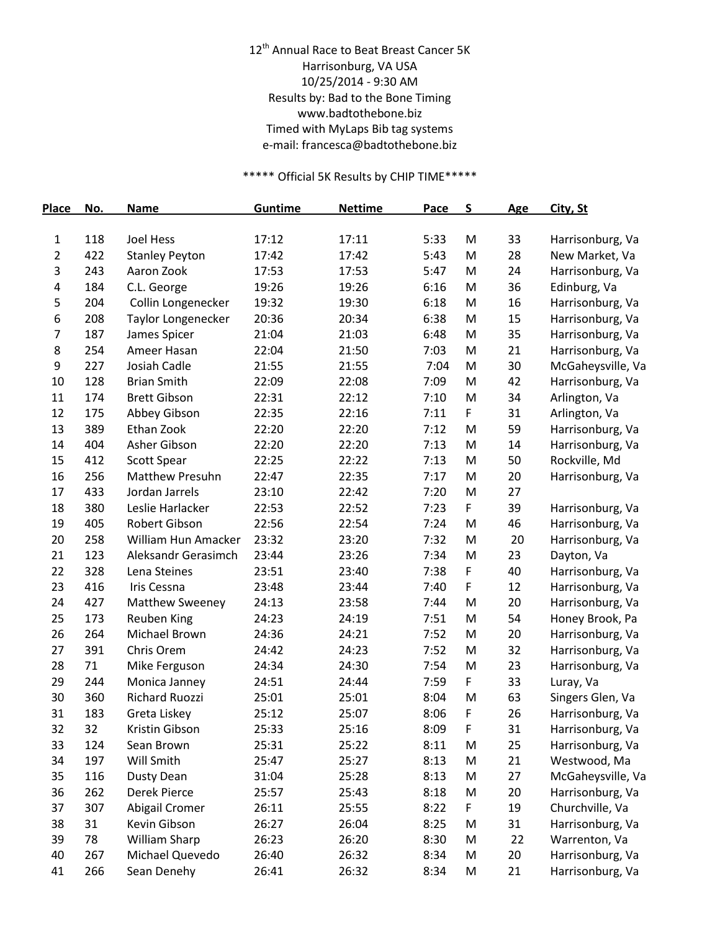## 12<sup>th</sup> Annual Race to Beat Breast Cancer 5K Harrisonburg, VA USA 10/25/2014 - 9:30 AM Results by: Bad to the Bone Timing www.badtothebone.biz Timed with MyLaps Bib tag systems e-mail: francesca@badtothebone.biz

## \*\*\*\*\* Official 5K Results by CHIP TIME\*\*\*\*\*

| <b>Place</b> | No.        | <b>Name</b>                                  | Guntime        | <b>Nettime</b> | Pace         | S      | <b>Age</b> | City, St                          |
|--------------|------------|----------------------------------------------|----------------|----------------|--------------|--------|------------|-----------------------------------|
| 1            | 118        | <b>Joel Hess</b>                             | 17:12          | 17:11          | 5:33         | M      | 33         | Harrisonburg, Va                  |
| 2            | 422        | <b>Stanley Peyton</b>                        | 17:42          | 17:42          | 5:43         | M      | 28         | New Market, Va                    |
| 3            | 243        | Aaron Zook                                   | 17:53          | 17:53          | 5:47         | M      | 24         | Harrisonburg, Va                  |
| 4            | 184        | C.L. George                                  | 19:26          | 19:26          | 6:16         | M      | 36         | Edinburg, Va                      |
| 5            | 204        | Collin Longenecker                           | 19:32          | 19:30          | 6:18         | M      | 16         | Harrisonburg, Va                  |
| 6            | 208        | <b>Taylor Longenecker</b>                    | 20:36          | 20:34          | 6:38         | M      | 15         | Harrisonburg, Va                  |
| 7            | 187        | James Spicer                                 | 21:04          | 21:03          | 6:48         | M      | 35         | Harrisonburg, Va                  |
| 8            | 254        | Ameer Hasan                                  | 22:04          | 21:50          | 7:03         | M      | 21         | Harrisonburg, Va                  |
| 9            | 227        | Josiah Cadle                                 | 21:55          | 21:55          | 7:04         | M      | 30         | McGaheysville, Va                 |
| 10           | 128        | <b>Brian Smith</b>                           | 22:09          | 22:08          | 7:09         | M      | 42         | Harrisonburg, Va                  |
| 11           | 174        | <b>Brett Gibson</b>                          | 22:31          | 22:12          | 7:10         | M      | 34         | Arlington, Va                     |
| 12           | 175        | Abbey Gibson                                 | 22:35          | 22:16          | 7:11         | F      | 31         | Arlington, Va                     |
| 13           | 389        | Ethan Zook                                   | 22:20          | 22:20          | 7:12         | M      | 59         | Harrisonburg, Va                  |
| 14           | 404        | Asher Gibson                                 | 22:20          | 22:20          | 7:13         | M      | 14         | Harrisonburg, Va                  |
|              |            |                                              |                | 22:22          |              |        |            |                                   |
| 15<br>16     | 412<br>256 | <b>Scott Spear</b><br><b>Matthew Presuhn</b> | 22:25<br>22:47 |                | 7:13<br>7:17 | M<br>M | 50         | Rockville, Md<br>Harrisonburg, Va |
| 17           |            | Jordan Jarrels                               | 23:10          | 22:35<br>22:42 |              |        | 20<br>27   |                                   |
|              | 433        |                                              |                |                | 7:20         | M      |            |                                   |
| 18           | 380        | Leslie Harlacker                             | 22:53          | 22:52          | 7:23         | F      | 39         | Harrisonburg, Va                  |
| 19           | 405        | Robert Gibson                                | 22:56          | 22:54          | 7:24         | M      | 46         | Harrisonburg, Va                  |
| 20           | 258        | William Hun Amacker                          | 23:32          | 23:20          | 7:32         | M      | 20         | Harrisonburg, Va                  |
| 21           | 123        | Aleksandr Gerasimch                          | 23:44          | 23:26          | 7:34         | M      | 23         | Dayton, Va                        |
| 22           | 328        | Lena Steines                                 | 23:51          | 23:40          | 7:38         | F      | 40         | Harrisonburg, Va                  |
| 23           | 416        | Iris Cessna                                  | 23:48          | 23:44          | 7:40         | F      | 12         | Harrisonburg, Va                  |
| 24           | 427        | Matthew Sweeney                              | 24:13          | 23:58          | 7:44         | M      | 20         | Harrisonburg, Va                  |
| 25           | 173        | Reuben King                                  | 24:23          | 24:19          | 7:51         | M      | 54         | Honey Brook, Pa                   |
| 26           | 264        | Michael Brown                                | 24:36          | 24:21          | 7:52         | M      | 20         | Harrisonburg, Va                  |
| 27           | 391        | Chris Orem                                   | 24:42          | 24:23          | 7:52         | M      | 32         | Harrisonburg, Va                  |
| 28           | 71         | Mike Ferguson                                | 24:34          | 24:30          | 7:54         | M      | 23         | Harrisonburg, Va                  |
| 29           | 244        | Monica Janney                                | 24:51          | 24:44          | 7:59         | F      | 33         | Luray, Va                         |
| 30           | 360        | Richard Ruozzi                               | 25:01          | 25:01          | 8:04         | M      | 63         | Singers Glen, Va                  |
| 31           | 183        | Greta Liskey                                 | 25:12          | 25:07          | 8:06         | F      | 26         | Harrisonburg, Va                  |
| 32           | 32         | Kristin Gibson                               | 25:33          | 25:16          | 8:09         | F      | 31         | Harrisonburg, Va                  |
| 33           | 124        | Sean Brown                                   | 25:31          | 25:22          | 8:11         | M      | 25         | Harrisonburg, Va                  |
| 34           | 197        | Will Smith                                   | 25:47          | 25:27          | 8:13         | M      | 21         | Westwood, Ma                      |
| 35           | 116        | <b>Dusty Dean</b>                            | 31:04          | 25:28          | 8:13         | M      | 27         | McGaheysville, Va                 |
| 36           | 262        | Derek Pierce                                 | 25:57          | 25:43          | 8:18         | M      | 20         | Harrisonburg, Va                  |
| 37           | 307        | Abigail Cromer                               | 26:11          | 25:55          | 8:22         | F      | 19         | Churchville, Va                   |
| 38           | 31         | Kevin Gibson                                 | 26:27          | 26:04          | 8:25         | M      | 31         | Harrisonburg, Va                  |
| 39           | 78         | William Sharp                                | 26:23          | 26:20          | 8:30         | M      | 22         | Warrenton, Va                     |
| 40           | 267        | Michael Quevedo                              | 26:40          | 26:32          | 8:34         | M      | 20         | Harrisonburg, Va                  |
| 41           | 266        | Sean Denehy                                  | 26:41          | 26:32          | 8:34         | M      | 21         | Harrisonburg, Va                  |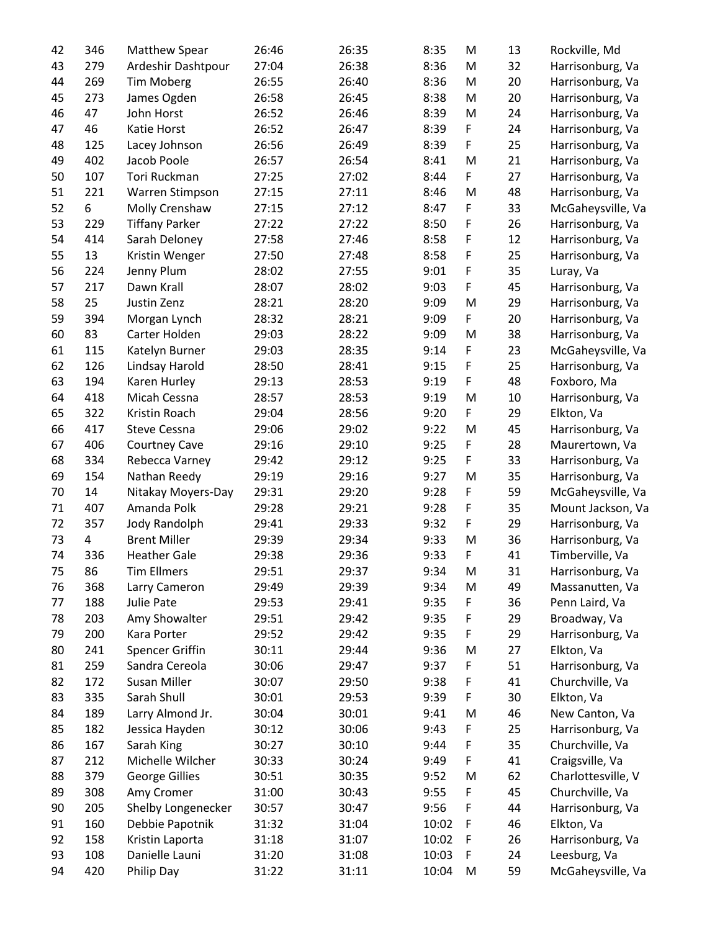| 42 | 346 | <b>Matthew Spear</b>  | 26:46 | 26:35 | 8:35  | M           | 13 | Rockville, Md      |
|----|-----|-----------------------|-------|-------|-------|-------------|----|--------------------|
| 43 | 279 | Ardeshir Dashtpour    | 27:04 | 26:38 | 8:36  | M           | 32 | Harrisonburg, Va   |
| 44 | 269 | Tim Moberg            | 26:55 | 26:40 | 8:36  | M           | 20 | Harrisonburg, Va   |
| 45 | 273 | James Ogden           | 26:58 | 26:45 | 8:38  | M           | 20 | Harrisonburg, Va   |
| 46 | 47  | John Horst            | 26:52 | 26:46 | 8:39  | M           | 24 | Harrisonburg, Va   |
| 47 | 46  | Katie Horst           | 26:52 | 26:47 | 8:39  | F           | 24 | Harrisonburg, Va   |
| 48 | 125 | Lacey Johnson         | 26:56 | 26:49 | 8:39  | F           | 25 | Harrisonburg, Va   |
| 49 | 402 | Jacob Poole           | 26:57 | 26:54 | 8:41  | M           | 21 | Harrisonburg, Va   |
| 50 | 107 | Tori Ruckman          | 27:25 | 27:02 | 8:44  | F           | 27 | Harrisonburg, Va   |
| 51 | 221 | Warren Stimpson       | 27:15 | 27:11 | 8:46  | M           | 48 | Harrisonburg, Va   |
| 52 | 6   | Molly Crenshaw        | 27:15 | 27:12 | 8:47  | F           | 33 |                    |
| 53 |     |                       | 27:22 | 27:22 | 8:50  |             |    | McGaheysville, Va  |
|    | 229 | <b>Tiffany Parker</b> |       |       |       | F           | 26 | Harrisonburg, Va   |
| 54 | 414 | Sarah Deloney         | 27:58 | 27:46 | 8:58  | F           | 12 | Harrisonburg, Va   |
| 55 | 13  | Kristin Wenger        | 27:50 | 27:48 | 8:58  | F           | 25 | Harrisonburg, Va   |
| 56 | 224 | Jenny Plum            | 28:02 | 27:55 | 9:01  | F           | 35 | Luray, Va          |
| 57 | 217 | Dawn Krall            | 28:07 | 28:02 | 9:03  | F           | 45 | Harrisonburg, Va   |
| 58 | 25  | Justin Zenz           | 28:21 | 28:20 | 9:09  | M           | 29 | Harrisonburg, Va   |
| 59 | 394 | Morgan Lynch          | 28:32 | 28:21 | 9:09  | F           | 20 | Harrisonburg, Va   |
| 60 | 83  | Carter Holden         | 29:03 | 28:22 | 9:09  | M           | 38 | Harrisonburg, Va   |
| 61 | 115 | Katelyn Burner        | 29:03 | 28:35 | 9:14  | F           | 23 | McGaheysville, Va  |
| 62 | 126 | Lindsay Harold        | 28:50 | 28:41 | 9:15  | F           | 25 | Harrisonburg, Va   |
| 63 | 194 | Karen Hurley          | 29:13 | 28:53 | 9:19  | F           | 48 | Foxboro, Ma        |
| 64 | 418 | Micah Cessna          | 28:57 | 28:53 | 9:19  | M           | 10 | Harrisonburg, Va   |
| 65 | 322 | Kristin Roach         | 29:04 | 28:56 | 9:20  | F           | 29 | Elkton, Va         |
| 66 | 417 | Steve Cessna          | 29:06 | 29:02 | 9:22  | M           | 45 | Harrisonburg, Va   |
| 67 | 406 | <b>Courtney Cave</b>  | 29:16 | 29:10 | 9:25  | F           | 28 | Maurertown, Va     |
| 68 | 334 | Rebecca Varney        | 29:42 | 29:12 | 9:25  | F           | 33 | Harrisonburg, Va   |
| 69 | 154 | Nathan Reedy          | 29:19 | 29:16 | 9:27  | M           | 35 | Harrisonburg, Va   |
| 70 | 14  | Nitakay Moyers-Day    | 29:31 | 29:20 | 9:28  | $\mathsf F$ | 59 | McGaheysville, Va  |
| 71 | 407 | Amanda Polk           | 29:28 | 29:21 | 9:28  | F           | 35 | Mount Jackson, Va  |
| 72 | 357 | Jody Randolph         | 29:41 | 29:33 | 9:32  | F           | 29 | Harrisonburg, Va   |
| 73 | 4   | <b>Brent Miller</b>   | 29:39 | 29:34 | 9:33  | M           | 36 | Harrisonburg, Va   |
| 74 | 336 | <b>Heather Gale</b>   | 29:38 | 29:36 | 9:33  | F           | 41 | Timberville, Va    |
| 75 | 86  | <b>Tim Ellmers</b>    | 29:51 | 29:37 | 9:34  | M           | 31 | Harrisonburg, Va   |
| 76 | 368 | Larry Cameron         | 29:49 | 29:39 | 9:34  | M           | 49 | Massanutten, Va    |
|    | 188 |                       |       |       | 9:35  |             |    | Penn Laird, Va     |
| 77 |     | Julie Pate            | 29:53 | 29:41 |       | F           | 36 |                    |
| 78 | 203 | Amy Showalter         | 29:51 | 29:42 | 9:35  | F           | 29 | Broadway, Va       |
| 79 | 200 | Kara Porter           | 29:52 | 29:42 | 9:35  | F           | 29 | Harrisonburg, Va   |
| 80 | 241 | Spencer Griffin       | 30:11 | 29:44 | 9:36  | M           | 27 | Elkton, Va         |
| 81 | 259 | Sandra Cereola        | 30:06 | 29:47 | 9:37  | F           | 51 | Harrisonburg, Va   |
| 82 | 172 | Susan Miller          | 30:07 | 29:50 | 9:38  | F           | 41 | Churchville, Va    |
| 83 | 335 | Sarah Shull           | 30:01 | 29:53 | 9:39  | F           | 30 | Elkton, Va         |
| 84 | 189 | Larry Almond Jr.      | 30:04 | 30:01 | 9:41  | M           | 46 | New Canton, Va     |
| 85 | 182 | Jessica Hayden        | 30:12 | 30:06 | 9:43  | F           | 25 | Harrisonburg, Va   |
| 86 | 167 | Sarah King            | 30:27 | 30:10 | 9:44  | F           | 35 | Churchville, Va    |
| 87 | 212 | Michelle Wilcher      | 30:33 | 30:24 | 9:49  | F           | 41 | Craigsville, Va    |
| 88 | 379 | George Gillies        | 30:51 | 30:35 | 9:52  | M           | 62 | Charlottesville, V |
| 89 | 308 | Amy Cromer            | 31:00 | 30:43 | 9:55  | F           | 45 | Churchville, Va    |
| 90 | 205 | Shelby Longenecker    | 30:57 | 30:47 | 9:56  | F           | 44 | Harrisonburg, Va   |
| 91 | 160 | Debbie Papotnik       | 31:32 | 31:04 | 10:02 | F           | 46 | Elkton, Va         |
| 92 | 158 | Kristin Laporta       | 31:18 | 31:07 | 10:02 | F           | 26 | Harrisonburg, Va   |
| 93 | 108 | Danielle Launi        | 31:20 | 31:08 | 10:03 | F           | 24 | Leesburg, Va       |
| 94 | 420 | Philip Day            | 31:22 | 31:11 | 10:04 | M           | 59 | McGaheysville, Va  |
|    |     |                       |       |       |       |             |    |                    |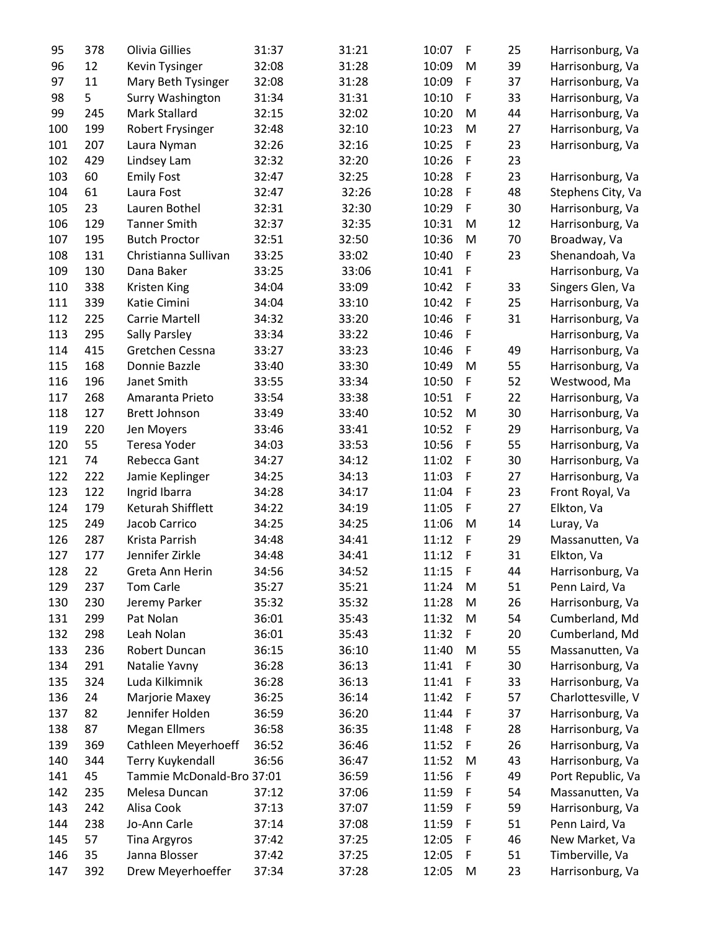| 95  | 378 | Olivia Gillies            | 31:37 | 31:21 | 10:07 | F           | 25 | Harrisonburg, Va                     |
|-----|-----|---------------------------|-------|-------|-------|-------------|----|--------------------------------------|
| 96  | 12  | Kevin Tysinger            | 32:08 | 31:28 | 10:09 | M           | 39 | Harrisonburg, Va                     |
| 97  | 11  | Mary Beth Tysinger        | 32:08 | 31:28 | 10:09 | F           | 37 | Harrisonburg, Va                     |
| 98  | 5   | Surry Washington          | 31:34 | 31:31 | 10:10 | F           | 33 | Harrisonburg, Va                     |
| 99  | 245 | Mark Stallard             | 32:15 | 32:02 | 10:20 | M           | 44 | Harrisonburg, Va                     |
| 100 | 199 | Robert Frysinger          | 32:48 | 32:10 | 10:23 | M           | 27 | Harrisonburg, Va                     |
| 101 | 207 | Laura Nyman               | 32:26 | 32:16 | 10:25 | F           | 23 | Harrisonburg, Va                     |
| 102 | 429 | Lindsey Lam               | 32:32 | 32:20 | 10:26 | $\mathsf F$ | 23 |                                      |
| 103 | 60  | <b>Emily Fost</b>         | 32:47 | 32:25 | 10:28 | $\mathsf F$ | 23 | Harrisonburg, Va                     |
| 104 | 61  | Laura Fost                | 32:47 | 32:26 | 10:28 | $\mathsf F$ | 48 | Stephens City, Va                    |
| 105 | 23  | Lauren Bothel             | 32:31 | 32:30 | 10:29 | F           | 30 | Harrisonburg, Va                     |
| 106 | 129 | <b>Tanner Smith</b>       | 32:37 | 32:35 | 10:31 | M           | 12 | Harrisonburg, Va                     |
| 107 | 195 | <b>Butch Proctor</b>      | 32:51 | 32:50 | 10:36 | M           | 70 | Broadway, Va                         |
| 108 | 131 | Christianna Sullivan      | 33:25 | 33:02 | 10:40 | F           | 23 | Shenandoah, Va                       |
| 109 | 130 | Dana Baker                | 33:25 | 33:06 | 10:41 | F           |    |                                      |
|     |     |                           | 34:04 |       | 10:42 | $\mathsf F$ |    | Harrisonburg, Va<br>Singers Glen, Va |
| 110 | 338 | Kristen King              |       | 33:09 |       | $\mathsf F$ | 33 |                                      |
| 111 | 339 | Katie Cimini              | 34:04 | 33:10 | 10:42 |             | 25 | Harrisonburg, Va                     |
| 112 | 225 | Carrie Martell            | 34:32 | 33:20 | 10:46 | $\mathsf F$ | 31 | Harrisonburg, Va                     |
| 113 | 295 | <b>Sally Parsley</b>      | 33:34 | 33:22 | 10:46 | F           |    | Harrisonburg, Va                     |
| 114 | 415 | Gretchen Cessna           | 33:27 | 33:23 | 10:46 | F           | 49 | Harrisonburg, Va                     |
| 115 | 168 | Donnie Bazzle             | 33:40 | 33:30 | 10:49 | M           | 55 | Harrisonburg, Va                     |
| 116 | 196 | Janet Smith               | 33:55 | 33:34 | 10:50 | F           | 52 | Westwood, Ma                         |
| 117 | 268 | Amaranta Prieto           | 33:54 | 33:38 | 10:51 | F           | 22 | Harrisonburg, Va                     |
| 118 | 127 | <b>Brett Johnson</b>      | 33:49 | 33:40 | 10:52 | M           | 30 | Harrisonburg, Va                     |
| 119 | 220 | Jen Moyers                | 33:46 | 33:41 | 10:52 | $\mathsf F$ | 29 | Harrisonburg, Va                     |
| 120 | 55  | Teresa Yoder              | 34:03 | 33:53 | 10:56 | $\mathsf F$ | 55 | Harrisonburg, Va                     |
| 121 | 74  | Rebecca Gant              | 34:27 | 34:12 | 11:02 | F           | 30 | Harrisonburg, Va                     |
| 122 | 222 | Jamie Keplinger           | 34:25 | 34:13 | 11:03 | F           | 27 | Harrisonburg, Va                     |
| 123 | 122 | Ingrid Ibarra             | 34:28 | 34:17 | 11:04 | $\mathsf F$ | 23 | Front Royal, Va                      |
| 124 | 179 | Keturah Shifflett         | 34:22 | 34:19 | 11:05 | $\mathsf F$ | 27 | Elkton, Va                           |
| 125 | 249 | Jacob Carrico             | 34:25 | 34:25 | 11:06 | M           | 14 | Luray, Va                            |
| 126 | 287 | Krista Parrish            | 34:48 | 34:41 | 11:12 | F           | 29 | Massanutten, Va                      |
| 127 | 177 | Jennifer Zirkle           | 34:48 | 34:41 | 11:12 | $\mathsf F$ | 31 | Elkton, Va                           |
| 128 | 22  | Greta Ann Herin           | 34:56 | 34:52 | 11:15 | $\mathsf F$ | 44 | Harrisonburg, Va                     |
| 129 | 237 | Tom Carle                 | 35:27 | 35:21 | 11:24 | M           | 51 | Penn Laird, Va                       |
| 130 | 230 | Jeremy Parker             | 35:32 | 35:32 | 11:28 | M           | 26 | Harrisonburg, Va                     |
| 131 | 299 | Pat Nolan                 | 36:01 | 35:43 | 11:32 | M           | 54 | Cumberland, Md                       |
| 132 | 298 | Leah Nolan                | 36:01 | 35:43 | 11:32 | F           | 20 | Cumberland, Md                       |
| 133 | 236 | Robert Duncan             | 36:15 | 36:10 | 11:40 | M           | 55 | Massanutten, Va                      |
| 134 | 291 | Natalie Yavny             | 36:28 | 36:13 | 11:41 | F           | 30 | Harrisonburg, Va                     |
| 135 | 324 | Luda Kilkimnik            | 36:28 | 36:13 | 11:41 | F           | 33 | Harrisonburg, Va                     |
| 136 | 24  | Marjorie Maxey            | 36:25 | 36:14 | 11:42 | F           | 57 | Charlottesville, V                   |
| 137 | 82  | Jennifer Holden           | 36:59 | 36:20 | 11:44 | F           | 37 | Harrisonburg, Va                     |
| 138 | 87  | <b>Megan Ellmers</b>      | 36:58 | 36:35 | 11:48 | $\mathsf F$ | 28 | Harrisonburg, Va                     |
| 139 | 369 | Cathleen Meyerhoeff       | 36:52 | 36:46 | 11:52 | F           | 26 | Harrisonburg, Va                     |
| 140 | 344 | <b>Terry Kuykendall</b>   | 36:56 | 36:47 | 11:52 | M           | 43 | Harrisonburg, Va                     |
| 141 | 45  | Tammie McDonald-Bro 37:01 |       | 36:59 | 11:56 | F           | 49 | Port Republic, Va                    |
| 142 | 235 | Melesa Duncan             | 37:12 | 37:06 | 11:59 | F           | 54 | Massanutten, Va                      |
| 143 | 242 | Alisa Cook                | 37:13 | 37:07 | 11:59 | F           | 59 | Harrisonburg, Va                     |
| 144 | 238 | Jo-Ann Carle              | 37:14 | 37:08 | 11:59 | $\mathsf F$ | 51 | Penn Laird, Va                       |
|     |     |                           |       |       |       | $\mathsf F$ |    |                                      |
| 145 | 57  | <b>Tina Argyros</b>       | 37:42 | 37:25 | 12:05 |             | 46 | New Market, Va                       |
| 146 | 35  | Janna Blosser             | 37:42 | 37:25 | 12:05 | $\mathsf F$ | 51 | Timberville, Va                      |
| 147 | 392 | Drew Meyerhoeffer         | 37:34 | 37:28 | 12:05 | M           | 23 | Harrisonburg, Va                     |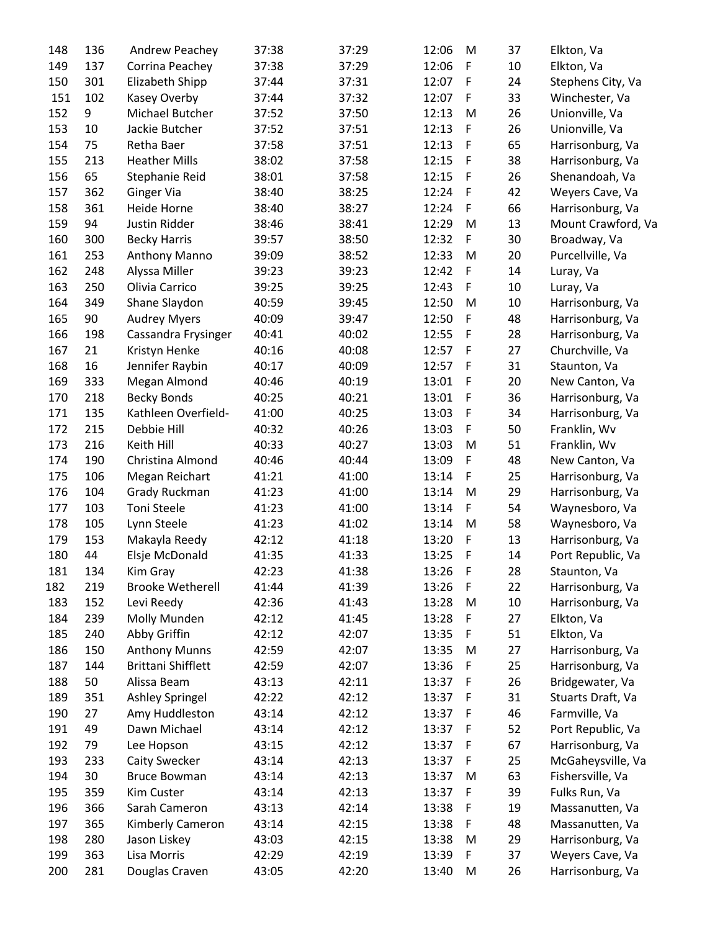| 148 | 136 | Andrew Peachey            | 37:38 | 37:29 | 12:06 | M           | 37 | Elkton, Va         |
|-----|-----|---------------------------|-------|-------|-------|-------------|----|--------------------|
| 149 | 137 | Corrina Peachey           | 37:38 | 37:29 | 12:06 | F           | 10 | Elkton, Va         |
| 150 | 301 | Elizabeth Shipp           | 37:44 | 37:31 | 12:07 | F           | 24 | Stephens City, Va  |
| 151 | 102 | Kasey Overby              | 37:44 | 37:32 | 12:07 | F           | 33 | Winchester, Va     |
| 152 | 9   | Michael Butcher           | 37:52 | 37:50 | 12:13 | M           | 26 | Unionville, Va     |
| 153 | 10  | Jackie Butcher            | 37:52 | 37:51 | 12:13 | F           | 26 | Unionville, Va     |
| 154 | 75  | Retha Baer                | 37:58 | 37:51 | 12:13 | F           | 65 | Harrisonburg, Va   |
| 155 | 213 | <b>Heather Mills</b>      | 38:02 | 37:58 | 12:15 | F           | 38 | Harrisonburg, Va   |
| 156 | 65  | Stephanie Reid            | 38:01 | 37:58 | 12:15 | $\mathsf F$ | 26 | Shenandoah, Va     |
| 157 | 362 | <b>Ginger Via</b>         | 38:40 | 38:25 | 12:24 | F           | 42 | Weyers Cave, Va    |
| 158 | 361 | Heide Horne               | 38:40 | 38:27 | 12:24 | F           | 66 | Harrisonburg, Va   |
| 159 | 94  | Justin Ridder             | 38:46 | 38:41 | 12:29 | M           | 13 | Mount Crawford, Va |
| 160 | 300 | <b>Becky Harris</b>       | 39:57 | 38:50 | 12:32 | F           | 30 | Broadway, Va       |
| 161 | 253 | Anthony Manno             | 39:09 | 38:52 | 12:33 | M           | 20 | Purcellville, Va   |
| 162 | 248 |                           | 39:23 | 39:23 | 12:42 | F           | 14 |                    |
|     |     | Alyssa Miller             |       |       | 12:43 |             |    | Luray, Va          |
| 163 | 250 | Olivia Carrico            | 39:25 | 39:25 |       | F           | 10 | Luray, Va          |
| 164 | 349 | Shane Slaydon             | 40:59 | 39:45 | 12:50 | M           | 10 | Harrisonburg, Va   |
| 165 | 90  | <b>Audrey Myers</b>       | 40:09 | 39:47 | 12:50 | F           | 48 | Harrisonburg, Va   |
| 166 | 198 | Cassandra Frysinger       | 40:41 | 40:02 | 12:55 | F           | 28 | Harrisonburg, Va   |
| 167 | 21  | Kristyn Henke             | 40:16 | 40:08 | 12:57 | F           | 27 | Churchville, Va    |
| 168 | 16  | Jennifer Raybin           | 40:17 | 40:09 | 12:57 | F           | 31 | Staunton, Va       |
| 169 | 333 | Megan Almond              | 40:46 | 40:19 | 13:01 | F           | 20 | New Canton, Va     |
| 170 | 218 | <b>Becky Bonds</b>        | 40:25 | 40:21 | 13:01 | F           | 36 | Harrisonburg, Va   |
| 171 | 135 | Kathleen Overfield-       | 41:00 | 40:25 | 13:03 | F           | 34 | Harrisonburg, Va   |
| 172 | 215 | Debbie Hill               | 40:32 | 40:26 | 13:03 | F           | 50 | Franklin, Wv       |
| 173 | 216 | Keith Hill                | 40:33 | 40:27 | 13:03 | M           | 51 | Franklin, Wv       |
| 174 | 190 | Christina Almond          | 40:46 | 40:44 | 13:09 | F           | 48 | New Canton, Va     |
| 175 | 106 | Megan Reichart            | 41:21 | 41:00 | 13:14 | F           | 25 | Harrisonburg, Va   |
| 176 | 104 | Grady Ruckman             | 41:23 | 41:00 | 13:14 | M           | 29 | Harrisonburg, Va   |
| 177 | 103 | <b>Toni Steele</b>        | 41:23 | 41:00 | 13:14 | F           | 54 | Waynesboro, Va     |
| 178 | 105 | Lynn Steele               | 41:23 | 41:02 | 13:14 | M           | 58 | Waynesboro, Va     |
| 179 | 153 | Makayla Reedy             | 42:12 | 41:18 | 13:20 | F           | 13 | Harrisonburg, Va   |
| 180 | 44  | Elsje McDonald            | 41:35 | 41:33 | 13:25 | F           | 14 | Port Republic, Va  |
| 181 | 134 | Kim Gray                  | 42:23 | 41:38 | 13:26 | $\mathsf F$ | 28 | Staunton, Va       |
| 182 | 219 | <b>Brooke Wetherell</b>   | 41:44 | 41:39 | 13:26 | F           | 22 | Harrisonburg, Va   |
| 183 | 152 | Levi Reedy                | 42:36 | 41:43 | 13:28 | M           | 10 | Harrisonburg, Va   |
| 184 | 239 | Molly Munden              | 42:12 | 41:45 | 13:28 | F           | 27 | Elkton, Va         |
| 185 | 240 | Abby Griffin              | 42:12 | 42:07 | 13:35 | F           | 51 | Elkton, Va         |
| 186 | 150 | <b>Anthony Munns</b>      | 42:59 | 42:07 | 13:35 | M           | 27 | Harrisonburg, Va   |
| 187 | 144 | <b>Brittani Shifflett</b> | 42:59 | 42:07 | 13:36 | F           | 25 | Harrisonburg, Va   |
| 188 | 50  | Alissa Beam               | 43:13 | 42:11 | 13:37 | F           | 26 | Bridgewater, Va    |
| 189 | 351 | Ashley Springel           | 42:22 | 42:12 | 13:37 | F           | 31 | Stuarts Draft, Va  |
| 190 | 27  | Amy Huddleston            | 43:14 | 42:12 | 13:37 | $\mathsf F$ | 46 | Farmville, Va      |
| 191 | 49  | Dawn Michael              | 43:14 | 42:12 | 13:37 | $\mathsf F$ | 52 | Port Republic, Va  |
| 192 | 79  | Lee Hopson                | 43:15 | 42:12 | 13:37 | F           | 67 | Harrisonburg, Va   |
| 193 | 233 | Caity Swecker             | 43:14 | 42:13 | 13:37 | F           | 25 | McGaheysville, Va  |
| 194 | 30  | <b>Bruce Bowman</b>       | 43:14 | 42:13 | 13:37 | M           | 63 | Fishersville, Va   |
| 195 | 359 | <b>Kim Custer</b>         | 43:14 | 42:13 | 13:37 | F           | 39 | Fulks Run, Va      |
| 196 | 366 | Sarah Cameron             | 43:13 | 42:14 | 13:38 | F           | 19 | Massanutten, Va    |
| 197 | 365 | Kimberly Cameron          | 43:14 | 42:15 | 13:38 | F           | 48 | Massanutten, Va    |
| 198 | 280 | Jason Liskey              | 43:03 | 42:15 | 13:38 | M           | 29 | Harrisonburg, Va   |
| 199 | 363 | Lisa Morris               | 42:29 | 42:19 | 13:39 | F           | 37 | Weyers Cave, Va    |
| 200 |     |                           | 43:05 | 42:20 |       |             |    |                    |
|     | 281 | Douglas Craven            |       |       | 13:40 | M           | 26 | Harrisonburg, Va   |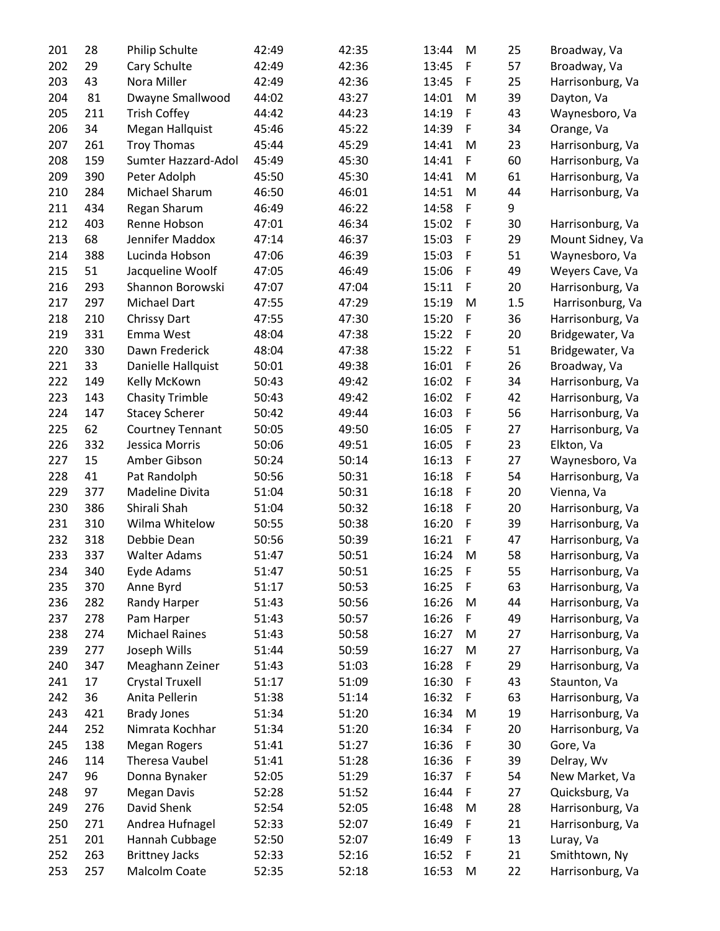| 201 | 28  | Philip Schulte         | 42:49 | 42:35 | 13:44 | M            | 25  | Broadway, Va     |
|-----|-----|------------------------|-------|-------|-------|--------------|-----|------------------|
| 202 | 29  | Cary Schulte           | 42:49 | 42:36 | 13:45 | F            | 57  | Broadway, Va     |
| 203 | 43  | Nora Miller            | 42:49 | 42:36 | 13:45 | F            | 25  | Harrisonburg, Va |
| 204 | 81  | Dwayne Smallwood       | 44:02 | 43:27 | 14:01 | M            | 39  | Dayton, Va       |
| 205 | 211 | <b>Trish Coffey</b>    | 44:42 | 44:23 | 14:19 | F            | 43  | Waynesboro, Va   |
| 206 | 34  | Megan Hallquist        | 45:46 | 45:22 | 14:39 | F            | 34  | Orange, Va       |
| 207 | 261 | <b>Troy Thomas</b>     | 45:44 | 45:29 | 14:41 | M            | 23  | Harrisonburg, Va |
| 208 | 159 | Sumter Hazzard-Adol    | 45:49 | 45:30 | 14:41 | F            | 60  | Harrisonburg, Va |
| 209 | 390 | Peter Adolph           | 45:50 | 45:30 | 14:41 | M            | 61  | Harrisonburg, Va |
| 210 | 284 | Michael Sharum         | 46:50 | 46:01 | 14:51 | M            | 44  | Harrisonburg, Va |
| 211 | 434 | Regan Sharum           | 46:49 | 46:22 | 14:58 | F            | 9   |                  |
| 212 | 403 | Renne Hobson           | 47:01 | 46:34 | 15:02 | F            | 30  | Harrisonburg, Va |
| 213 | 68  | Jennifer Maddox        | 47:14 | 46:37 | 15:03 | F            | 29  | Mount Sidney, Va |
| 214 | 388 | Lucinda Hobson         | 47:06 | 46:39 | 15:03 | $\mathsf F$  | 51  | Waynesboro, Va   |
| 215 | 51  | Jacqueline Woolf       | 47:05 | 46:49 | 15:06 | F            | 49  | Weyers Cave, Va  |
| 216 | 293 | Shannon Borowski       | 47:07 | 47:04 | 15:11 | F            | 20  | Harrisonburg, Va |
| 217 | 297 | Michael Dart           | 47:55 | 47:29 | 15:19 | M            | 1.5 | Harrisonburg, Va |
| 218 | 210 | <b>Chrissy Dart</b>    | 47:55 | 47:30 | 15:20 | F            | 36  | Harrisonburg, Va |
| 219 | 331 | Emma West              | 48:04 | 47:38 | 15:22 | F            | 20  | Bridgewater, Va  |
| 220 | 330 | Dawn Frederick         | 48:04 | 47:38 | 15:22 | F            | 51  |                  |
|     |     |                        |       |       |       |              |     | Bridgewater, Va  |
| 221 | 33  | Danielle Hallquist     | 50:01 | 49:38 | 16:01 | F            | 26  | Broadway, Va     |
| 222 | 149 | Kelly McKown           | 50:43 | 49:42 | 16:02 | F            | 34  | Harrisonburg, Va |
| 223 | 143 | <b>Chasity Trimble</b> | 50:43 | 49:42 | 16:02 | $\mathsf F$  | 42  | Harrisonburg, Va |
| 224 | 147 | <b>Stacey Scherer</b>  | 50:42 | 49:44 | 16:03 | F            | 56  | Harrisonburg, Va |
| 225 | 62  | Courtney Tennant       | 50:05 | 49:50 | 16:05 | F            | 27  | Harrisonburg, Va |
| 226 | 332 | Jessica Morris         | 50:06 | 49:51 | 16:05 | F            | 23  | Elkton, Va       |
| 227 | 15  | Amber Gibson           | 50:24 | 50:14 | 16:13 | $\mathsf F$  | 27  | Waynesboro, Va   |
| 228 | 41  | Pat Randolph           | 50:56 | 50:31 | 16:18 | F            | 54  | Harrisonburg, Va |
| 229 | 377 | Madeline Divita        | 51:04 | 50:31 | 16:18 | F            | 20  | Vienna, Va       |
| 230 | 386 | Shirali Shah           | 51:04 | 50:32 | 16:18 | F            | 20  | Harrisonburg, Va |
| 231 | 310 | Wilma Whitelow         | 50:55 | 50:38 | 16:20 | F            | 39  | Harrisonburg, Va |
| 232 | 318 | Debbie Dean            | 50:56 | 50:39 | 16:21 | F            | 47  | Harrisonburg, Va |
| 233 | 337 | <b>Walter Adams</b>    | 51:47 | 50:51 | 16:24 | M            | 58  | Harrisonburg, Va |
| 234 | 340 | Eyde Adams             | 51:47 | 50:51 | 16:25 | $\mathsf{F}$ | 55  | Harrisonburg, Va |
| 235 | 370 | Anne Byrd              | 51:17 | 50:53 | 16:25 | F            | 63  | Harrisonburg, Va |
| 236 | 282 | Randy Harper           | 51:43 | 50:56 | 16:26 | M            | 44  | Harrisonburg, Va |
| 237 | 278 | Pam Harper             | 51:43 | 50:57 | 16:26 | F.           | 49  | Harrisonburg, Va |
| 238 | 274 | <b>Michael Raines</b>  | 51:43 | 50:58 | 16:27 | M            | 27  | Harrisonburg, Va |
| 239 | 277 | Joseph Wills           | 51:44 | 50:59 | 16:27 | M            | 27  | Harrisonburg, Va |
| 240 | 347 | Meaghann Zeiner        | 51:43 | 51:03 | 16:28 | F            | 29  | Harrisonburg, Va |
| 241 | 17  | Crystal Truxell        | 51:17 | 51:09 | 16:30 | F            | 43  | Staunton, Va     |
| 242 | 36  | Anita Pellerin         | 51:38 | 51:14 | 16:32 | F            | 63  | Harrisonburg, Va |
| 243 | 421 | <b>Brady Jones</b>     | 51:34 | 51:20 | 16:34 | M            | 19  | Harrisonburg, Va |
| 244 | 252 | Nimrata Kochhar        | 51:34 | 51:20 | 16:34 | F            | 20  | Harrisonburg, Va |
| 245 | 138 | <b>Megan Rogers</b>    | 51:41 | 51:27 | 16:36 | F            | 30  | Gore, Va         |
| 246 | 114 | Theresa Vaubel         | 51:41 | 51:28 | 16:36 | F            | 39  | Delray, Wv       |
| 247 | 96  | Donna Bynaker          | 52:05 | 51:29 | 16:37 | F            | 54  | New Market, Va   |
| 248 | 97  | <b>Megan Davis</b>     | 52:28 | 51:52 | 16:44 | F            | 27  | Quicksburg, Va   |
| 249 | 276 | David Shenk            | 52:54 | 52:05 | 16:48 | M            | 28  | Harrisonburg, Va |
| 250 | 271 | Andrea Hufnagel        | 52:33 | 52:07 | 16:49 | F            | 21  | Harrisonburg, Va |
| 251 | 201 | Hannah Cubbage         | 52:50 | 52:07 | 16:49 | F            | 13  | Luray, Va        |
| 252 | 263 | <b>Brittney Jacks</b>  | 52:33 | 52:16 | 16:52 | F            | 21  | Smithtown, Ny    |
| 253 | 257 | Malcolm Coate          | 52:35 | 52:18 | 16:53 | M            | 22  | Harrisonburg, Va |
|     |     |                        |       |       |       |              |     |                  |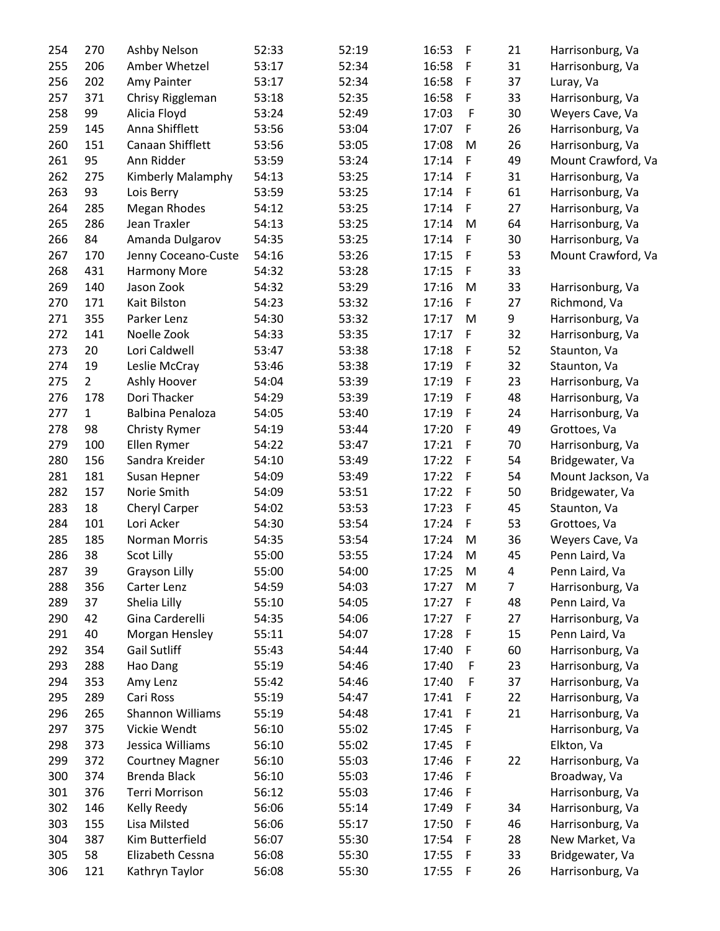| 254 | 270            | Ashby Nelson           | 52:33 | 52:19 | 16:53 | $\mathsf F$ | 21 | Harrisonburg, Va   |
|-----|----------------|------------------------|-------|-------|-------|-------------|----|--------------------|
| 255 | 206            | Amber Whetzel          | 53:17 | 52:34 | 16:58 | F           | 31 | Harrisonburg, Va   |
| 256 | 202            | Amy Painter            | 53:17 | 52:34 | 16:58 | $\mathsf F$ | 37 | Luray, Va          |
| 257 | 371            | Chrisy Riggleman       | 53:18 | 52:35 | 16:58 | F           | 33 | Harrisonburg, Va   |
| 258 | 99             | Alicia Floyd           | 53:24 | 52:49 | 17:03 | $\mathsf F$ | 30 | Weyers Cave, Va    |
| 259 | 145            | Anna Shifflett         | 53:56 | 53:04 | 17:07 | F           | 26 | Harrisonburg, Va   |
| 260 | 151            | Canaan Shifflett       | 53:56 | 53:05 | 17:08 | M           | 26 | Harrisonburg, Va   |
| 261 | 95             | Ann Ridder             | 53:59 | 53:24 | 17:14 | F           | 49 | Mount Crawford, Va |
| 262 | 275            | Kimberly Malamphy      | 54:13 | 53:25 | 17:14 | $\mathsf F$ | 31 | Harrisonburg, Va   |
| 263 | 93             | Lois Berry             | 53:59 | 53:25 | 17:14 | $\mathsf F$ | 61 | Harrisonburg, Va   |
| 264 | 285            | <b>Megan Rhodes</b>    | 54:12 | 53:25 | 17:14 | F           | 27 | Harrisonburg, Va   |
| 265 | 286            | Jean Traxler           | 54:13 | 53:25 | 17:14 | M           | 64 | Harrisonburg, Va   |
| 266 | 84             | Amanda Dulgarov        | 54:35 | 53:25 | 17:14 | F           | 30 | Harrisonburg, Va   |
| 267 | 170            | Jenny Coceano-Custe    | 54:16 | 53:26 | 17:15 | $\mathsf F$ | 53 | Mount Crawford, Va |
| 268 | 431            | <b>Harmony More</b>    | 54:32 | 53:28 | 17:15 | F           | 33 |                    |
| 269 | 140            | Jason Zook             | 54:32 | 53:29 | 17:16 | M           | 33 | Harrisonburg, Va   |
| 270 | 171            | Kait Bilston           | 54:23 | 53:32 | 17:16 | F           | 27 | Richmond, Va       |
| 271 | 355            | Parker Lenz            | 54:30 | 53:32 | 17:17 | M           | 9  | Harrisonburg, Va   |
| 272 | 141            | Noelle Zook            | 54:33 | 53:35 | 17:17 | F           | 32 | Harrisonburg, Va   |
| 273 | 20             | Lori Caldwell          | 53:47 | 53:38 | 17:18 | F           | 52 | Staunton, Va       |
| 274 | 19             |                        | 53:46 | 53:38 | 17:19 |             | 32 | Staunton, Va       |
|     | $\overline{2}$ | Leslie McCray          |       |       |       | F           |    |                    |
| 275 |                | Ashly Hoover           | 54:04 | 53:39 | 17:19 | $\mathsf F$ | 23 | Harrisonburg, Va   |
| 276 | 178            | Dori Thacker           | 54:29 | 53:39 | 17:19 | $\mathsf F$ | 48 | Harrisonburg, Va   |
| 277 | $\mathbf 1$    | Balbina Penaloza       | 54:05 | 53:40 | 17:19 | F           | 24 | Harrisonburg, Va   |
| 278 | 98             | <b>Christy Rymer</b>   | 54:19 | 53:44 | 17:20 | F           | 49 | Grottoes, Va       |
| 279 | 100            | Ellen Rymer            | 54:22 | 53:47 | 17:21 | F           | 70 | Harrisonburg, Va   |
| 280 | 156            | Sandra Kreider         | 54:10 | 53:49 | 17:22 | F           | 54 | Bridgewater, Va    |
| 281 | 181            | Susan Hepner           | 54:09 | 53:49 | 17:22 | F           | 54 | Mount Jackson, Va  |
| 282 | 157            | Norie Smith            | 54:09 | 53:51 | 17:22 | F           | 50 | Bridgewater, Va    |
| 283 | 18             | Cheryl Carper          | 54:02 | 53:53 | 17:23 | $\mathsf F$ | 45 | Staunton, Va       |
| 284 | 101            | Lori Acker             | 54:30 | 53:54 | 17:24 | F           | 53 | Grottoes, Va       |
| 285 | 185            | Norman Morris          | 54:35 | 53:54 | 17:24 | M           | 36 | Weyers Cave, Va    |
| 286 | 38             | Scot Lilly             | 55:00 | 53:55 | 17:24 | M           | 45 | Penn Laird, Va     |
| 287 | 39             | Grayson Lilly          | 55:00 | 54:00 | 17:25 | M           | 4  | Penn Laird, Va     |
| 288 | 356            | Carter Lenz            | 54:59 | 54:03 | 17:27 | M           | 7  | Harrisonburg, Va   |
| 289 | 37             | Shelia Lilly           | 55:10 | 54:05 | 17:27 | F           | 48 | Penn Laird, Va     |
| 290 | 42             | Gina Carderelli        | 54:35 | 54:06 | 17:27 | F           | 27 | Harrisonburg, Va   |
| 291 | 40             | Morgan Hensley         | 55:11 | 54:07 | 17:28 | F           | 15 | Penn Laird, Va     |
| 292 | 354            | <b>Gail Sutliff</b>    | 55:43 | 54:44 | 17:40 | F           | 60 | Harrisonburg, Va   |
| 293 | 288            | Hao Dang               | 55:19 | 54:46 | 17:40 | F           | 23 | Harrisonburg, Va   |
| 294 | 353            | Amy Lenz               | 55:42 | 54:46 | 17:40 | F           | 37 | Harrisonburg, Va   |
| 295 | 289            | Cari Ross              | 55:19 | 54:47 | 17:41 | F           | 22 | Harrisonburg, Va   |
| 296 | 265            | Shannon Williams       | 55:19 | 54:48 | 17:41 | F           | 21 | Harrisonburg, Va   |
| 297 | 375            | Vickie Wendt           | 56:10 | 55:02 | 17:45 | F           |    | Harrisonburg, Va   |
| 298 | 373            | Jessica Williams       | 56:10 | 55:02 | 17:45 | F           |    | Elkton, Va         |
| 299 | 372            | <b>Courtney Magner</b> | 56:10 | 55:03 | 17:46 | F           | 22 | Harrisonburg, Va   |
| 300 | 374            | Brenda Black           | 56:10 | 55:03 | 17:46 | $\mathsf F$ |    | Broadway, Va       |
| 301 | 376            | <b>Terri Morrison</b>  | 56:12 | 55:03 | 17:46 | F           |    | Harrisonburg, Va   |
| 302 | 146            | Kelly Reedy            | 56:06 | 55:14 | 17:49 | F           | 34 | Harrisonburg, Va   |
| 303 | 155            | Lisa Milsted           | 56:06 | 55:17 | 17:50 | F           | 46 | Harrisonburg, Va   |
| 304 | 387            | Kim Butterfield        | 56:07 | 55:30 | 17:54 | $\mathsf F$ | 28 | New Market, Va     |
| 305 | 58             | Elizabeth Cessna       | 56:08 | 55:30 | 17:55 | $\mathsf F$ | 33 | Bridgewater, Va    |
| 306 | 121            | Kathryn Taylor         | 56:08 | 55:30 | 17:55 | F           | 26 | Harrisonburg, Va   |
|     |                |                        |       |       |       |             |    |                    |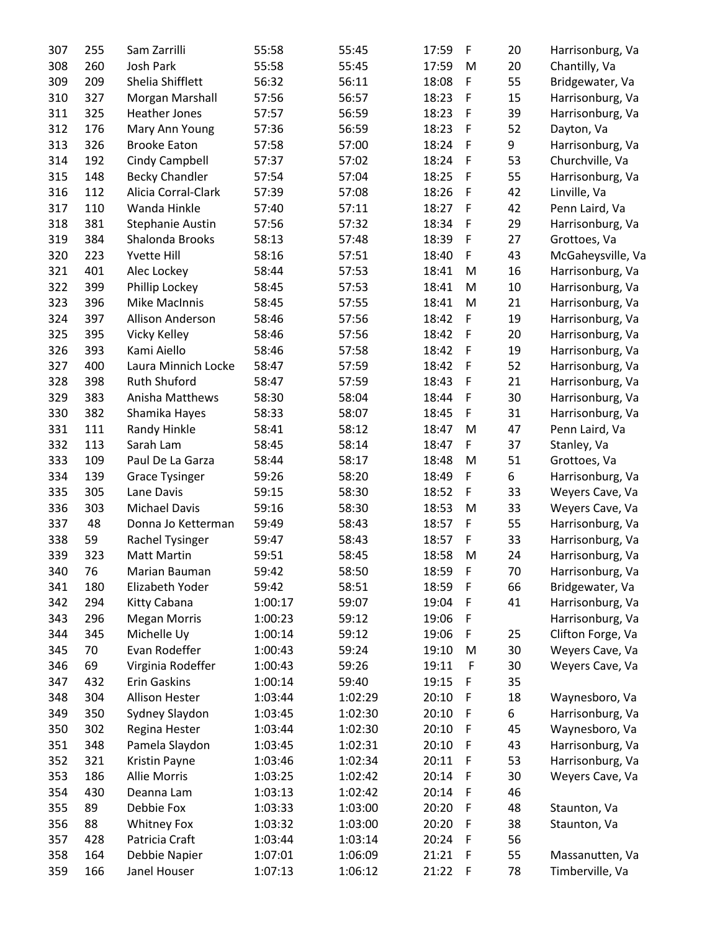| 307 | 255 | Sam Zarrilli            | 55:58   | 55:45   | 17:59 | F                      | 20 | Harrisonburg, Va  |
|-----|-----|-------------------------|---------|---------|-------|------------------------|----|-------------------|
| 308 | 260 | Josh Park               | 55:58   | 55:45   | 17:59 | M                      | 20 | Chantilly, Va     |
| 309 | 209 | Shelia Shifflett        | 56:32   | 56:11   | 18:08 | F                      | 55 | Bridgewater, Va   |
| 310 | 327 | Morgan Marshall         | 57:56   | 56:57   | 18:23 | F                      | 15 | Harrisonburg, Va  |
| 311 | 325 | Heather Jones           | 57:57   | 56:59   | 18:23 | F                      | 39 | Harrisonburg, Va  |
| 312 | 176 | Mary Ann Young          | 57:36   | 56:59   | 18:23 | F                      | 52 | Dayton, Va        |
| 313 | 326 | <b>Brooke Eaton</b>     | 57:58   | 57:00   | 18:24 | F                      | 9  | Harrisonburg, Va  |
| 314 | 192 | Cindy Campbell          | 57:37   | 57:02   | 18:24 | F                      | 53 | Churchville, Va   |
| 315 | 148 | <b>Becky Chandler</b>   | 57:54   | 57:04   | 18:25 | F                      | 55 | Harrisonburg, Va  |
| 316 | 112 | Alicia Corral-Clark     | 57:39   | 57:08   | 18:26 | F                      | 42 | Linville, Va      |
| 317 | 110 | Wanda Hinkle            | 57:40   | 57:11   | 18:27 | F                      | 42 | Penn Laird, Va    |
| 318 | 381 | <b>Stephanie Austin</b> | 57:56   | 57:32   | 18:34 | F                      | 29 | Harrisonburg, Va  |
| 319 | 384 | Shalonda Brooks         | 58:13   | 57:48   | 18:39 | F                      | 27 | Grottoes, Va      |
| 320 | 223 | <b>Yvette Hill</b>      | 58:16   | 57:51   | 18:40 | F                      | 43 | McGaheysville, Va |
| 321 | 401 | Alec Lockey             | 58:44   | 57:53   | 18:41 | M                      | 16 | Harrisonburg, Va  |
| 322 | 399 | Phillip Lockey          | 58:45   | 57:53   | 18:41 | M                      | 10 | Harrisonburg, Va  |
| 323 | 396 | <b>Mike MacInnis</b>    | 58:45   | 57:55   | 18:41 | M                      | 21 | Harrisonburg, Va  |
| 324 | 397 | Allison Anderson        | 58:46   | 57:56   | 18:42 | F                      | 19 |                   |
|     |     |                         |         |         |       |                        |    | Harrisonburg, Va  |
| 325 | 395 | Vicky Kelley            | 58:46   | 57:56   | 18:42 | F                      | 20 | Harrisonburg, Va  |
| 326 | 393 | Kami Aiello             | 58:46   | 57:58   | 18:42 | F                      | 19 | Harrisonburg, Va  |
| 327 | 400 | Laura Minnich Locke     | 58:47   | 57:59   | 18:42 | F                      | 52 | Harrisonburg, Va  |
| 328 | 398 | <b>Ruth Shuford</b>     | 58:47   | 57:59   | 18:43 | F                      | 21 | Harrisonburg, Va  |
| 329 | 383 | Anisha Matthews         | 58:30   | 58:04   | 18:44 | F                      | 30 | Harrisonburg, Va  |
| 330 | 382 | Shamika Hayes           | 58:33   | 58:07   | 18:45 | F                      | 31 | Harrisonburg, Va  |
| 331 | 111 | Randy Hinkle            | 58:41   | 58:12   | 18:47 | M                      | 47 | Penn Laird, Va    |
| 332 | 113 | Sarah Lam               | 58:45   | 58:14   | 18:47 | F                      | 37 | Stanley, Va       |
| 333 | 109 | Paul De La Garza        | 58:44   | 58:17   | 18:48 | M                      | 51 | Grottoes, Va      |
| 334 | 139 | <b>Grace Tysinger</b>   | 59:26   | 58:20   | 18:49 | F.                     | 6  | Harrisonburg, Va  |
| 335 | 305 | Lane Davis              | 59:15   | 58:30   | 18:52 | F.                     | 33 | Weyers Cave, Va   |
| 336 | 303 | <b>Michael Davis</b>    | 59:16   | 58:30   | 18:53 | M                      | 33 | Weyers Cave, Va   |
| 337 | 48  | Donna Jo Ketterman      | 59:49   | 58:43   | 18:57 | F                      | 55 | Harrisonburg, Va  |
| 338 | 59  | Rachel Tysinger         | 59:47   | 58:43   | 18:57 | F                      | 33 | Harrisonburg, Va  |
| 339 | 323 | <b>Matt Martin</b>      | 59:51   | 58:45   | 18:58 | M                      | 24 | Harrisonburg, Va  |
| 340 | 76  | Marian Bauman           | 59:42   | 58:50   | 18:59 | $\mid \mathsf{F} \mid$ | 70 | Harrisonburg, Va  |
| 341 | 180 | Elizabeth Yoder         | 59:42   | 58:51   | 18:59 | F                      | 66 | Bridgewater, Va   |
| 342 | 294 | Kitty Cabana            | 1:00:17 | 59:07   | 19:04 | F                      | 41 | Harrisonburg, Va  |
| 343 | 296 | <b>Megan Morris</b>     | 1:00:23 | 59:12   | 19:06 | F                      |    | Harrisonburg, Va  |
| 344 | 345 | Michelle Uy             | 1:00:14 | 59:12   | 19:06 | F                      | 25 | Clifton Forge, Va |
| 345 | 70  | Evan Rodeffer           | 1:00:43 | 59:24   | 19:10 | M                      | 30 | Weyers Cave, Va   |
| 346 | 69  | Virginia Rodeffer       | 1:00:43 | 59:26   | 19:11 | F                      | 30 | Weyers Cave, Va   |
| 347 | 432 | Erin Gaskins            | 1:00:14 | 59:40   | 19:15 | F                      | 35 |                   |
| 348 | 304 | <b>Allison Hester</b>   | 1:03:44 | 1:02:29 | 20:10 | F                      | 18 | Waynesboro, Va    |
| 349 | 350 | Sydney Slaydon          | 1:03:45 | 1:02:30 | 20:10 | F                      | 6  | Harrisonburg, Va  |
| 350 | 302 | Regina Hester           | 1:03:44 | 1:02:30 | 20:10 | F                      | 45 | Waynesboro, Va    |
| 351 | 348 | Pamela Slaydon          | 1:03:45 | 1:02:31 | 20:10 | F                      | 43 | Harrisonburg, Va  |
| 352 | 321 | Kristin Payne           | 1:03:46 | 1:02:34 | 20:11 | F                      | 53 | Harrisonburg, Va  |
| 353 | 186 | <b>Allie Morris</b>     | 1:03:25 | 1:02:42 | 20:14 | F                      | 30 | Weyers Cave, Va   |
| 354 | 430 | Deanna Lam              | 1:03:13 | 1:02:42 | 20:14 | F                      | 46 |                   |
| 355 | 89  | Debbie Fox              | 1:03:33 | 1:03:00 | 20:20 | F                      | 48 | Staunton, Va      |
| 356 | 88  | <b>Whitney Fox</b>      | 1:03:32 | 1:03:00 | 20:20 | F                      | 38 | Staunton, Va      |
| 357 | 428 | Patricia Craft          | 1:03:44 | 1:03:14 | 20:24 | F                      | 56 |                   |
| 358 | 164 | Debbie Napier           | 1:07:01 | 1:06:09 | 21:21 | F                      | 55 | Massanutten, Va   |
| 359 | 166 | Janel Houser            | 1:07:13 | 1:06:12 | 21:22 | F                      | 78 | Timberville, Va   |
|     |     |                         |         |         |       |                        |    |                   |